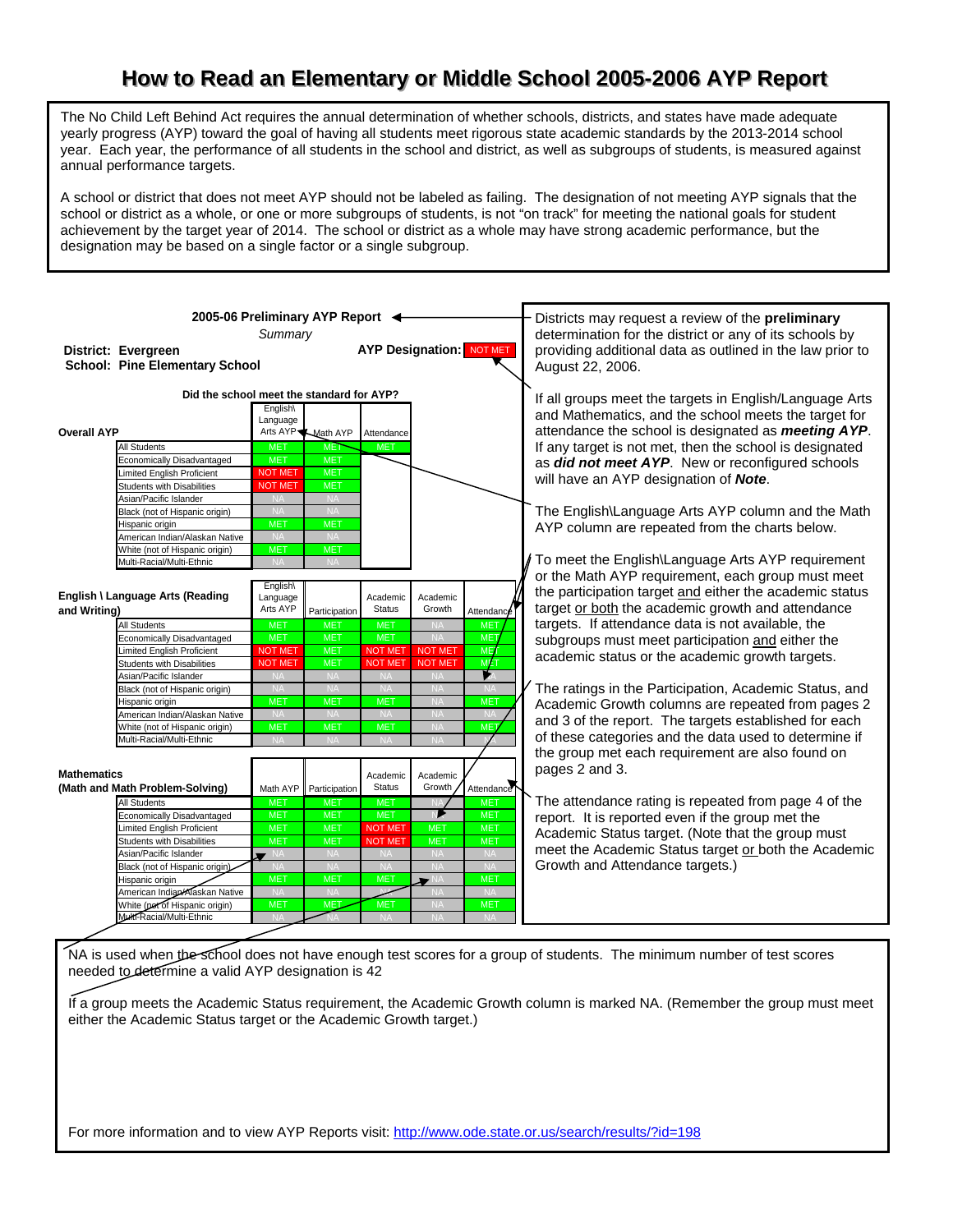## How to Read an Elementary or Middle School 2005-2006 AYP Report

The No Child Left Behind Act requires the annual determination of whether schools, districts, and states have made adequate yearly progress (AYP) toward the goal of having all students meet rigorous state academic standards by the 2013-2014 school year. Each year, the performance of all students in the school and district, as well as subgroups of students, is measured against annual performance targets.

A school or district that does not meet AYP should not be labeled as failing. The designation of not meeting AYP signals that the school or district as a whole, or one or more subgroups of students, is not "on track" for meeting the national goals for student achievement by the target year of 2014. The school or district as a whole may have strong academic performance, but the designation may be based on a single factor or a single subgroup.

| 2005-06 Preliminary AYP Report <<br>District: Evergreen<br><b>School: Pine Elementary School</b>                                                                                                                                                                                                                                                                       | Summary                                                                                                                                                                          | <b>AYP Designation: NOT MET</b>                                                                                                                                  | Districts may request a review of the <b>preliminary</b><br>determination for the district or any of its schools by<br>providing additional data as outlined in the law prior to<br>August 22, 2006. |                                                                                                                                                 |                                                                                                                                       |                                                                                                                                                                                                                                                                                                                                                                                                                                                                                                                                                               |
|------------------------------------------------------------------------------------------------------------------------------------------------------------------------------------------------------------------------------------------------------------------------------------------------------------------------------------------------------------------------|----------------------------------------------------------------------------------------------------------------------------------------------------------------------------------|------------------------------------------------------------------------------------------------------------------------------------------------------------------|------------------------------------------------------------------------------------------------------------------------------------------------------------------------------------------------------|-------------------------------------------------------------------------------------------------------------------------------------------------|---------------------------------------------------------------------------------------------------------------------------------------|---------------------------------------------------------------------------------------------------------------------------------------------------------------------------------------------------------------------------------------------------------------------------------------------------------------------------------------------------------------------------------------------------------------------------------------------------------------------------------------------------------------------------------------------------------------|
| Did the school meet the standard for AYP?<br><b>Overall AYP</b><br><b>All Students</b><br>Economically Disadvantaged<br>imited English Proficient<br><b>Students with Disabilities</b><br>Asian/Pacific Islander<br>Black (not of Hispanic origin)<br>Hispanic origin<br>American Indian/Alaskan Native<br>White (not of Hispanic origin)<br>Multi-Racial/Multi-Ethnic | English\<br>Language<br><b>MET</b><br><b>MET</b><br><b>NOT MET</b><br><b>NOT MET</b><br><b>NA</b><br><b>NA</b><br><b>MET</b><br><b>NA</b><br><b>MET</b><br><b>NA</b>             | Arts AYP <u>Math</u> AYP<br><b>MET</b><br><b>MET</b><br><b>MET</b><br><b>MET</b><br><b>NA</b><br><b>NA</b><br><b>MET</b><br><b>NA</b><br><b>MET</b><br><b>NA</b> | Attendance<br><b>MET</b>                                                                                                                                                                             |                                                                                                                                                 |                                                                                                                                       | If all groups meet the targets in English/Language Arts<br>and Mathematics, and the school meets the target for<br>attendance the school is designated as <b>meeting AYP</b> .<br>If any target is not met, then the school is designated<br>as did not meet AYP. New or reconfigured schools<br>will have an AYP designation of Note.<br>The English\Language Arts AYP column and the Math<br>AYP column are repeated from the charts below.<br>To meet the English\Language Arts AYP requirement<br>or the Math AYP requirement, each group must meet       |
| English \ Language Arts (Reading<br>and Writing)<br><b>All Students</b><br>Economically Disadvantaged<br>imited English Proficient<br><b>Students with Disabilities</b><br>Asian/Pacific Islander<br>Black (not of Hispanic origin)<br>Hispanic origin<br>American Indian/Alaskan Native<br>White (not of Hispanic origin)<br>Multi-Racial/Multi-Ethnic                | English\<br>Language<br>Arts AYP<br><b>MET</b><br><b>MET</b><br><b>NOT MET</b><br><b>NOT MET</b><br><b>NA</b><br><b>NA</b><br><b>MET</b><br><b>NA</b><br><b>MET</b><br><b>NA</b> | Participation<br><b>MET</b><br><b>MET</b><br><b>MET</b><br><b>MET</b><br><b>NA</b><br><b>NA</b><br><b>MET</b><br><b>NA</b><br><b>MET</b><br><b>NA</b>            | Academic<br><b>Status</b><br><b>MET</b><br><b>MET</b><br><b>NOT MET</b><br><b>NOT MET</b><br><b>NA</b><br><b>NA</b><br><b>MET</b><br><b>NA</b><br><b>MET</b><br><b>NA</b>                            | Academic<br>Growth<br><b>NA</b><br><b>NA</b><br><b>NOT MET</b><br><b>NOT MET</b><br><b>NA</b><br>NA<br><b>NA</b><br>$N_f$<br><b>NA</b><br>$N_A$ | Attendance<br><b>MET</b><br><b>MET</b><br><b>ME1</b><br>MET<br>Þ.<br>NA<br><b>MET</b><br><b>NA</b><br>ME <sub>1</sub>                 | the participation target and either the academic status<br>target or both the academic growth and attendance<br>targets. If attendance data is not available, the<br>subgroups must meet participation and either the<br>academic status or the academic growth targets.<br>The ratings in the Participation, Academic Status, and<br>Academic Growth columns are repeated from pages 2<br>and 3 of the report. The targets established for each<br>of these categories and the data used to determine if<br>the group met each requirement are also found on |
| <b>Mathematics</b><br>(Math and Math Problem-Solving)<br>All Students<br>Economically Disadvantaged<br>imited English Proficient<br><b>Students with Disabilities</b><br>Asian/Pacific Islander<br>Black (not of Hispanic origin).<br>Hispanic origin<br>American Indian/Alaskan Native<br>White (pet of Hispanic origin)<br>Multi-Racial/Multi-Ethnic                 | <b>MET</b><br><b>MET</b><br><b>MET</b><br><b>MET</b><br>$\blacksquare$ NA<br><b>MET</b><br><b>NA</b><br><b>MET</b>                                                               | Math AYP Participation<br><b>MET</b><br><b>MET</b><br><b>MET</b><br><b>MET</b><br><b>NA</b><br><b>NA</b><br><b>MET</b><br><b>NA</b><br>MET.                      | Academic<br><b>Status</b><br><b>MET</b><br><b>MET</b><br><b>NOT MET</b><br><b>NOT MET</b><br><b>NA</b><br><b>NA</b><br><b>MET</b><br><b>MET</b>                                                      | Academic<br>Growth<br><b>MET</b><br><b>MET</b><br><b>NA</b><br><b>NA</b><br>D N                                                                 | Attendance<br><b>MET</b><br><b>MET</b><br><b>MET</b><br><b>MET</b><br><b>NA</b><br><b>NA</b><br><b>MET</b><br><b>NA</b><br><b>MET</b> | pages 2 and 3.<br>The attendance rating is repeated from page 4 of the<br>report. It is reported even if the group met the<br>Academic Status target. (Note that the group must<br>meet the Academic Status target or both the Academic<br>Growth and Attendance targets.)                                                                                                                                                                                                                                                                                    |

NA is used when the school does not have enough test scores for a group of students. The minimum number of test scores needed to determine a valid AYP designation is 42

If a group meets the Academic Status requirement, the Academic Growth column is marked NA. (Remember the group must meet either the Academic Status target or the Academic Growth target.)

For more information and to view AYP Reports visit: http://www.ode.state.or.us/search/results/?id=198